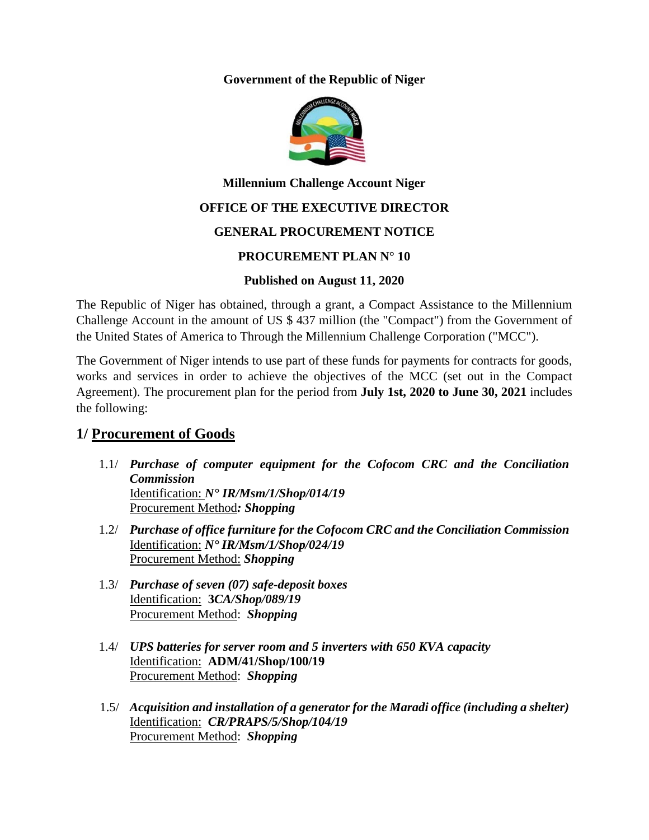**Government of the Republic of Niger**



# **Millennium Challenge Account Niger**

## **OFFICE OF THE EXECUTIVE DIRECTOR**

## **GENERAL PROCUREMENT NOTICE**

## **PROCUREMENT PLAN N° 10**

#### **Published on August 11, 2020**

The Republic of Niger has obtained, through a grant, a Compact Assistance to the Millennium Challenge Account in the amount of US \$ 437 million (the "Compact") from the Government of the United States of America to Through the Millennium Challenge Corporation ("MCC").

The Government of Niger intends to use part of these funds for payments for contracts for goods, works and services in order to achieve the objectives of the MCC (set out in the Compact Agreement). The procurement plan for the period from **July 1st, 2020 to June 30, 2021** includes the following:

# **1/ Procurement of Goods**

- 1.1/ *Purchase of computer equipment for the Cofocom CRC and the Conciliation Commission* Identification: *N° IR/Msm/1/Shop/014/19* Procurement Method*: Shopping*
- 1.2/ *Purchase of office furniture for the Cofocom CRC and the Conciliation Commission* Identification: *N° IR/Msm/1/Shop/024/19* Procurement Method: *Shopping*
- 1.3/ *Purchase of seven (07) safe-deposit boxes* Identification: **3***CA/Shop/089/19* Procurement Method: *Shopping*
- 1.4/ *UPS batteries for server room and 5 inverters with 650 KVA capacity*  Identification: **ADM/41/Shop/100/19** Procurement Method: *Shopping*
- 1.5/ *Acquisition and installation of a generator for the Maradi office (including a shelter)* Identification: *CR/PRAPS/5/Shop/104/19* Procurement Method: *Shopping*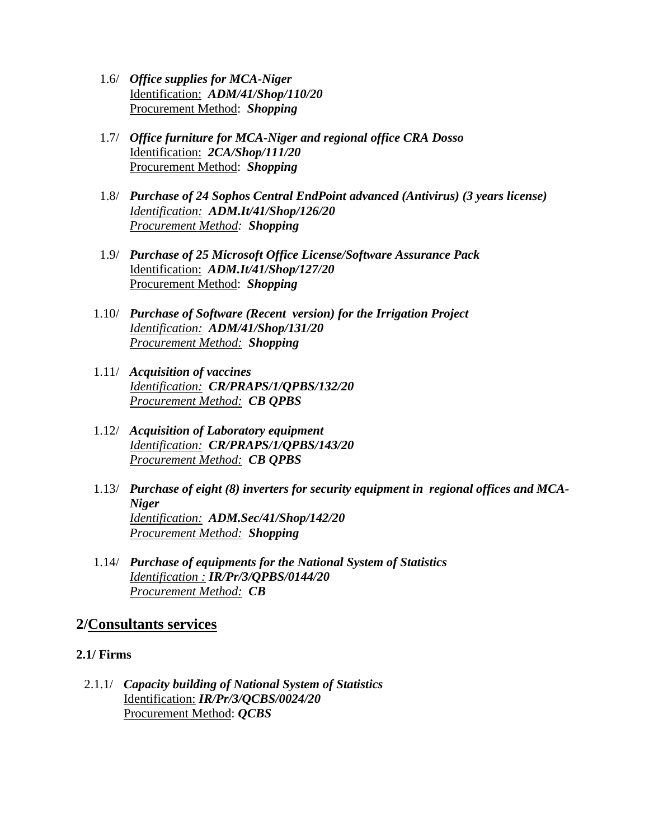- 1.6/ *Office supplies for MCA-Niger* Identification: *ADM/41/Shop/110/20* Procurement Method: *Shopping*
- 1.7/ *Office furniture for MCA-Niger and regional office CRA Dosso* Identification: *2CA/Shop/111/20* Procurement Method: *Shopping*
- 1.8/ *Purchase of 24 Sophos Central EndPoint advanced (Antivirus) (3 years license) Identification: ADM.It/41/Shop/126/20 Procurement Method: Shopping*
- 1.9/ *Purchase of 25 Microsoft Office License/Software Assurance Pack* Identification: *ADM.It/41/Shop/127/20* Procurement Method: *Shopping*
- 1.10/ *Purchase of Software (Recent version) for the Irrigation Project Identification: ADM/41/Shop/131/20 Procurement Method: Shopping*
- 1.11/ *Acquisition of vaccines Identification: CR/PRAPS/1/QPBS/132/20 Procurement Method: CB QPBS*
- 1.12/ *Acquisition of Laboratory equipment Identification: CR/PRAPS/1/QPBS/143/20 Procurement Method: CB QPBS*
- 1.13/ *Purchase of eight (8) inverters for security equipment in regional offices and MCA-Niger Identification: ADM.Sec/41/Shop/142/20 Procurement Method: Shopping*
- 1.14/ *Purchase of equipments for the National System of Statistics Identification : IR/Pr/3/QPBS/0144/20 Procurement Method: CB*

## **2/Consultants services**

#### **2.1/ Firms**

2.1.1/ *Capacity building of National System of Statistics* Identification: *IR/Pr/3/QCBS/0024/20* Procurement Method: *QCBS*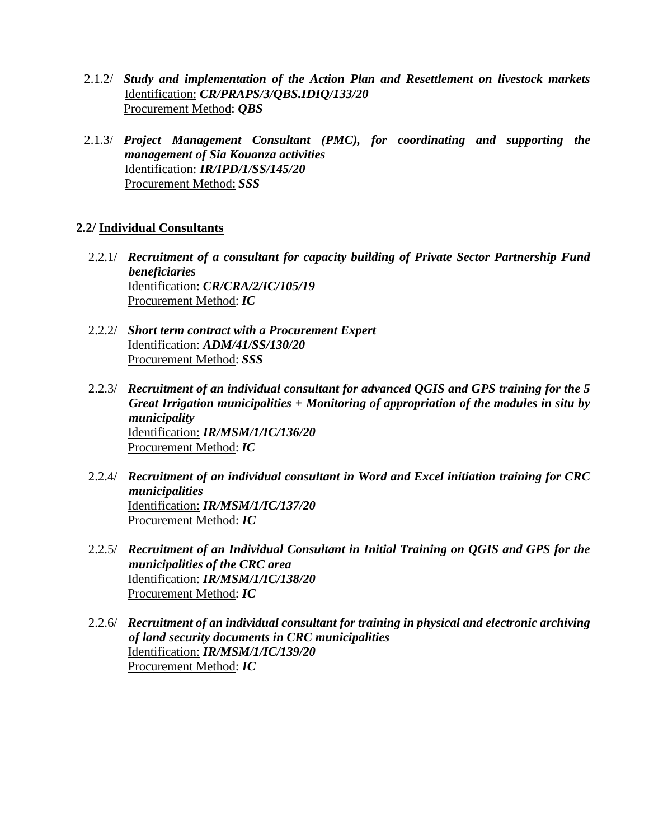- 2.1.2/ *Study and implementation of the Action Plan and Resettlement on livestock markets*  Identification: *CR/PRAPS/3/QBS.IDIQ/133/20* Procurement Method: *QBS*
- 2.1.3/ *Project Management Consultant (PMC), for coordinating and supporting the management of Sia Kouanza activities* Identification: *IR/IPD/1/SS/145/20* Procurement Method: *SSS*

#### **2.2/ Individual Consultants**

- 2.2.1/ *Recruitment of a consultant for capacity building of Private Sector Partnership Fund beneficiaries* Identification: *CR/CRA/2/IC/105/19* Procurement Method: *IC*
- 2.2.2/ *Short term contract with a Procurement Expert* Identification: *ADM/41/SS/130/20* Procurement Method: *SSS*
- 2.2.3/ *Recruitment of an individual consultant for advanced QGIS and GPS training for the 5 Great Irrigation municipalities + Monitoring of appropriation of the modules in situ by municipality* Identification: *IR/MSM/1/IC/136/20* Procurement Method: *IC*
- 2.2.4/ *Recruitment of an individual consultant in Word and Excel initiation training for CRC municipalities* Identification: *IR/MSM/1/IC/137/20* Procurement Method: *IC*
- 2.2.5/ *Recruitment of an Individual Consultant in Initial Training on QGIS and GPS for the municipalities of the CRC area* Identification: *IR/MSM/1/IC/138/20* Procurement Method: *IC*
- 2.2.6/ *Recruitment of an individual consultant for training in physical and electronic archiving of land security documents in CRC municipalities* Identification: *IR/MSM/1/IC/139/20* Procurement Method: *IC*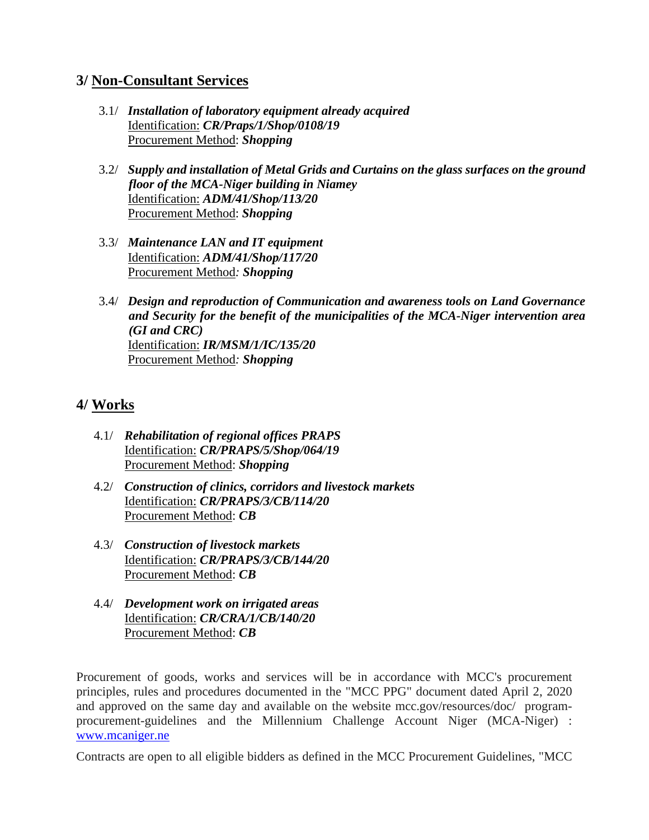# **3/ Non-Consultant Services**

- 3.1/ *Installation of laboratory equipment already acquired* Identification: *CR/Praps/1/Shop/0108/19* Procurement Method: *Shopping*
- 3.2/ *Supply and installation of Metal Grids and Curtains on the glass surfaces on the ground floor of the MCA-Niger building in Niamey* Identification: *ADM/41/Shop/113/20* Procurement Method: *Shopping*
- 3.3/ *Maintenance LAN and IT equipment* Identification: *ADM/41/Shop/117/20* Procurement Method*: Shopping*
- 3.4/ *Design and reproduction of Communication and awareness tools on Land Governance and Security for the benefit of the municipalities of the MCA-Niger intervention area (GI and CRC)* Identification: *IR/MSM/1/IC/135/20* Procurement Method*: Shopping*

# **4/ Works**

- 4.1/ *Rehabilitation of regional offices PRAPS* Identification: *CR/PRAPS/5/Shop/064/19* Procurement Method: *Shopping*
- 4.2/ *Construction of clinics, corridors and livestock markets* Identification: *CR/PRAPS/3/CB/114/20* Procurement Method: *CB*
- 4.3/ *Construction of livestock markets* Identification: *CR/PRAPS/3/CB/144/20* Procurement Method: *CB*
- 4.4/ *Development work on irrigated areas* Identification: *CR/CRA/1/CB/140/20* Procurement Method: *CB*

Procurement of goods, works and services will be in accordance with MCC's procurement principles, rules and procedures documented in the "MCC PPG" document dated April 2, 2020 and approved on the same day and available on the website mcc.gov/resources/doc/ programprocurement-guidelines and the Millennium Challenge Account Niger (MCA-Niger) : [www.mcaniger.ne](http://www.mcaniger.ne/)

Contracts are open to all eligible bidders as defined in the MCC Procurement Guidelines, "MCC